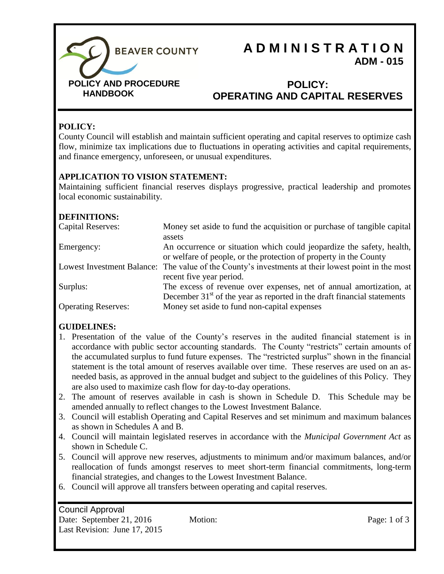

# **A D M I N I S T R A T I O N ADM - 015**

#### **POLICY: OPERATING AND CAPITAL RESERVES**

#### **POLICY:**

County Council will establish and maintain sufficient operating and capital reserves to optimize cash flow, minimize tax implications due to fluctuations in operating activities and capital requirements, and finance emergency, unforeseen, or unusual expenditures.

#### **APPLICATION TO VISION STATEMENT:**

Maintaining sufficient financial reserves displays progressive, practical leadership and promotes local economic sustainability.

#### **DEFINITIONS:**

| <b>Capital Reserves:</b>   | Money set aside to fund the acquisition or purchase of tangible capital<br>assets                                                                |
|----------------------------|--------------------------------------------------------------------------------------------------------------------------------------------------|
| Emergency:                 | An occurrence or situation which could jeopardize the safety, health,<br>or welfare of people, or the protection of property in the County       |
|                            | Lowest Investment Balance: The value of the County's investments at their lowest point in the most<br>recent five year period.                   |
| Surplus:                   | The excess of revenue over expenses, net of annual amortization, at<br>December $31st$ of the year as reported in the draft financial statements |
| <b>Operating Reserves:</b> | Money set aside to fund non-capital expenses                                                                                                     |

#### **GUIDELINES:**

- 1. Presentation of the value of the County's reserves in the audited financial statement is in accordance with public sector accounting standards. The County "restricts" certain amounts of the accumulated surplus to fund future expenses. The "restricted surplus" shown in the financial statement is the total amount of reserves available over time. These reserves are used on an asneeded basis, as approved in the annual budget and subject to the guidelines of this Policy. They are also used to maximize cash flow for day-to-day operations.
- 2. The amount of reserves available in cash is shown in Schedule D. This Schedule may be amended annually to reflect changes to the Lowest Investment Balance.
- 3. Council will establish Operating and Capital Reserves and set minimum and maximum balances as shown in Schedules A and B.
- 4. Council will maintain legislated reserves in accordance with the *Municipal Government Act* as shown in Schedule C.
- 5. Council will approve new reserves, adjustments to minimum and/or maximum balances, and/or reallocation of funds amongst reserves to meet short-term financial commitments, long-term financial strategies, and changes to the Lowest Investment Balance.
- 6. Council will approve all transfers between operating and capital reserves.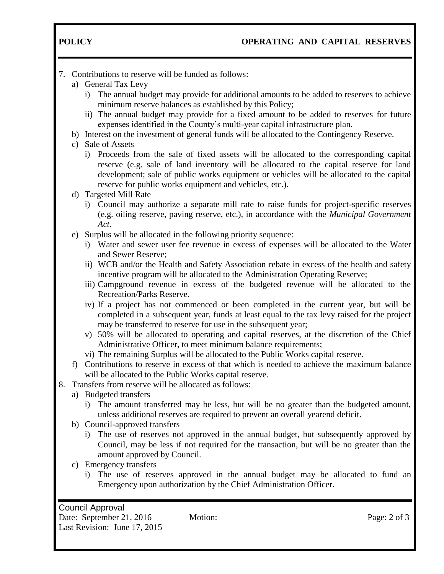- 7. Contributions to reserve will be funded as follows:
	- a) General Tax Levy
		- i) The annual budget may provide for additional amounts to be added to reserves to achieve minimum reserve balances as established by this Policy;
		- ii) The annual budget may provide for a fixed amount to be added to reserves for future expenses identified in the County's multi-year capital infrastructure plan.
	- b) Interest on the investment of general funds will be allocated to the Contingency Reserve.
	- c) Sale of Assets
		- i) Proceeds from the sale of fixed assets will be allocated to the corresponding capital reserve (e.g. sale of land inventory will be allocated to the capital reserve for land development; sale of public works equipment or vehicles will be allocated to the capital reserve for public works equipment and vehicles, etc.).
	- d) Targeted Mill Rate
		- i) Council may authorize a separate mill rate to raise funds for project-specific reserves (e.g. oiling reserve, paving reserve, etc.), in accordance with the *Municipal Government Act*.
	- e) Surplus will be allocated in the following priority sequence:
		- i) Water and sewer user fee revenue in excess of expenses will be allocated to the Water and Sewer Reserve;
		- ii) WCB and/or the Health and Safety Association rebate in excess of the health and safety incentive program will be allocated to the Administration Operating Reserve;
		- iii) Campground revenue in excess of the budgeted revenue will be allocated to the Recreation/Parks Reserve.
		- iv) If a project has not commenced or been completed in the current year, but will be completed in a subsequent year, funds at least equal to the tax levy raised for the project may be transferred to reserve for use in the subsequent year;
		- v) 50% will be allocated to operating and capital reserves, at the discretion of the Chief Administrative Officer, to meet minimum balance requirements;
		- vi) The remaining Surplus will be allocated to the Public Works capital reserve.
	- f) Contributions to reserve in excess of that which is needed to achieve the maximum balance will be allocated to the Public Works capital reserve.
- 8. Transfers from reserve will be allocated as follows:
	- a) Budgeted transfers
		- i) The amount transferred may be less, but will be no greater than the budgeted amount, unless additional reserves are required to prevent an overall yearend deficit.
	- b) Council-approved transfers
		- i) The use of reserves not approved in the annual budget, but subsequently approved by Council, may be less if not required for the transaction, but will be no greater than the amount approved by Council.
	- c) Emergency transfers
		- i) The use of reserves approved in the annual budget may be allocated to fund an Emergency upon authorization by the Chief Administration Officer.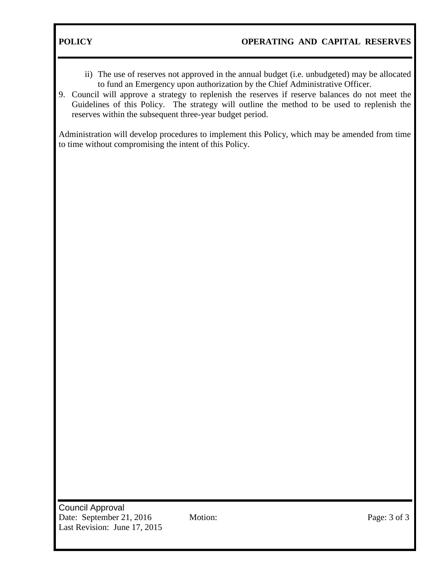- ii) The use of reserves not approved in the annual budget (i.e. unbudgeted) may be allocated to fund an Emergency upon authorization by the Chief Administrative Officer.
- 9. Council will approve a strategy to replenish the reserves if reserve balances do not meet the Guidelines of this Policy. The strategy will outline the method to be used to replenish the reserves within the subsequent three-year budget period.

Administration will develop procedures to implement this Policy, which may be amended from time to time without compromising the intent of this Policy.

Council Approval Date: September 21, 2016 Motion: Page: 3 of 3 Last Revision: June 17, 2015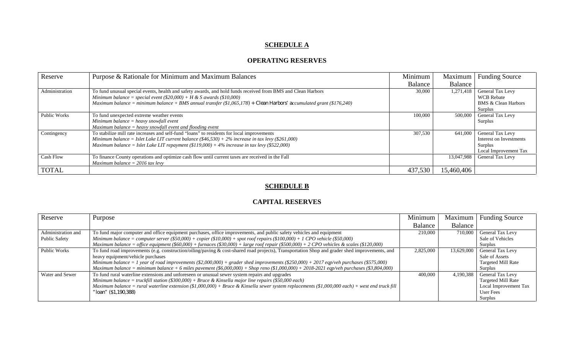## **SCHEDULE A**

#### **OPERATING RESERVES**

| Reserve        | Purpose & Rationale for Minimum and Maximum Balances                                                                   | Minimum | Maximum    | <b>Funding Source</b>          |
|----------------|------------------------------------------------------------------------------------------------------------------------|---------|------------|--------------------------------|
|                |                                                                                                                        | Balance | Balance    |                                |
| Administration | To fund unusual special events, health and safety awards, and hold funds received from BMS and Clean Harbors           | 30,000  | 1,271,418  | General Tax Levy               |
|                | Minimum balance = special event $(\$20,000) + H &$ S awards $(\$10,000)$                                               |         |            | <b>WCB</b> Rebate              |
|                | Maximum balance = minimum balance + BMS annual transfer $(\$1,065,178)$ + Clean Harbors' accumulated grant (\$176,240) |         |            | <b>BMS &amp; Clean Harbors</b> |
|                |                                                                                                                        |         |            | Surplus                        |
| Public Works   | To fund unexpected extreme weather events                                                                              | 100,000 | 500,000    | <b>General Tax Levy</b>        |
|                | Minimum balance $=$ heavy snowfall event                                                                               |         |            | Surplus                        |
|                | $Maximum\ balance = heavy\ snowfall\ event\ and\ flooding\ event$                                                      |         |            |                                |
| Contingency    | To stabilize mill rate increases and self-fund "loans" to residents for local improvements                             | 307,530 | 641,000    | General Tax Levy               |
|                | Minimum balance = Islet Lake LIT current balance $(\$46,530) + 2\%$ increase in tax levy $(\$261,000)$                 |         |            | Interest on Investments        |
|                | Maximum balance = Islet Lake LIT repayment $(\$119,000) + 4\%$ increase in tax levy $(\$522,000)$                      |         |            | Surplus                        |
|                |                                                                                                                        |         |            | Local Improvement Tax          |
| Cash Flow      | To finance County operations and optimize cash flow until current taxes are received in the Fall                       |         | 13,047,988 | <b>General Tax Levy</b>        |
|                | Maximum balance = $2016$ tax levy                                                                                      |         |            |                                |
| <b>TOTAL</b>   |                                                                                                                        | 437,530 | 15,460,406 |                                |

#### **SCHEDULE B**

#### **CAPITAL RESERVES**

| Reserve             | Purpose                                                                                                                                         | Minimum   | Maximum    | <b>Funding Source</b>   |
|---------------------|-------------------------------------------------------------------------------------------------------------------------------------------------|-----------|------------|-------------------------|
|                     |                                                                                                                                                 | Balance   | Balance    |                         |
| Administration and  | To fund major computer and office equipment purchases, office improvements, and public safety vehicles and equipment                            | 210,000   | 710,000    | <b>General Tax Levy</b> |
| Public Safety       | Minimum balance = computer server $(\$50,000) + copier ($10,000) + spot$ roof repairs $(\$100,000) + I$ CPO vehicle $(\$50,000)$                |           |            | Sale of Vehicles        |
|                     | Maximum balance = office equipment (\$60,000) + furnaces (\$30,000) + large roof repair (\$500,000) + 2 CPO vehicles & scales (\$120,000)       |           |            | Surplus                 |
| <b>Public Works</b> | To fund road improvements (e.g. construction/oiling/paving & cost-shared road projects), Transportation Shop and grader shed improvements, and  | 2,825,000 | 13,629,000 | <b>General Tax Levy</b> |
|                     | heavy equipment/vehicle purchases                                                                                                               |           |            | Sale of Assets          |
|                     | Minimum balance = 1 year of road improvements (\$2,000,000) + grader shed improvements (\$250,000) + 2017 eqp/veh purchases (\$575,000)         |           |            | Targeted Mill Rate      |
|                     | Maximum balance = minimum balance + 6 miles pavement (\$6,000,000) + Shop reno (\$1,000,000) + 2018-2021 eqp/veh purchases (\$3,804,000)        |           |            | Surplus                 |
| Water and Sewer     | To fund rural waterline extensions and unforeseen or unusual sewer system repairs and upgrades                                                  | 400,000   | 4.190.388  | <b>General Tax Levy</b> |
|                     | Minimum balance = truckfill station $(\$300,000) + Bruce \& Kinsella major line repairs ($50,000 each)$                                         |           |            | Targeted Mill Rate      |
|                     | Maximum balance = rural waterline extension (\$1,000,000) + Bruce & Kinsella sewer system replacements (\$1,000,000 each) + west end truck fill |           |            | Local Improvement Tax   |
|                     | "loan" (\$1,190,388)                                                                                                                            |           |            | User Fees               |
|                     |                                                                                                                                                 |           |            | Surplus                 |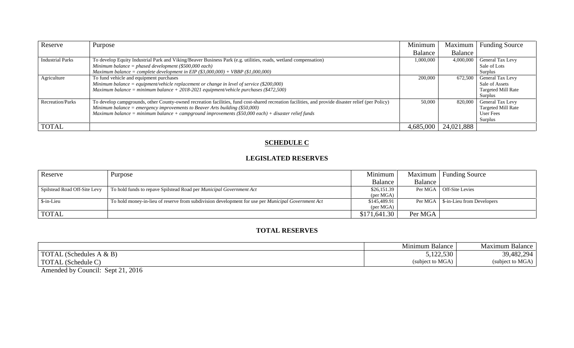| Reserve                 | Purpose                                                                                                                                            | Minimum   | Maximum    | <b>Funding Source</b>     |
|-------------------------|----------------------------------------------------------------------------------------------------------------------------------------------------|-----------|------------|---------------------------|
|                         |                                                                                                                                                    | Balance   | Balance    |                           |
| <b>Industrial Parks</b> | To develop Equity Industrial Park and Viking/Beaver Business Park (e.g. utilities, roads, wetland compensation)                                    | 1,000,000 | 4,000,000  | General Tax Levy          |
|                         | Minimum balance = phased development $(\$500,000$ each)                                                                                            |           |            | Sale of Lots              |
|                         | Maximum balance = complete development in EIP $(\$3,000,000) + VBBP$ $(\$1,000,000)$                                                               |           |            | Surplus                   |
| Agriculture             | To fund vehicle and equipment purchases                                                                                                            | 200,000   | 672.500    | General Tax Levy          |
|                         | Minimum balance = equipment/vehicle replacement or change in level of service (\$200,000)                                                          |           |            | Sale of Assets            |
|                         | Maximum balance = minimum balance + 2018-2021 equipment/vehicle purchases (\$472,500)                                                              |           |            | <b>Targeted Mill Rate</b> |
|                         |                                                                                                                                                    |           |            | Surplus                   |
| <b>Recreation/Parks</b> | To develop campgrounds, other County-owned recreation facilities, fund cost-shared recreation facilities, and provide disaster relief (per Policy) | 50,000    | 820,000    | General Tax Levy          |
|                         | Minimum balance = emergency improvements to Beaver Arts building $(\$50,000)$                                                                      |           |            | <b>Targeted Mill Rate</b> |
|                         | Maximum balance = minimum balance + campground improvements $(\$50,000$ each) + disaster relief funds                                              |           |            | <b>User Fees</b>          |
|                         |                                                                                                                                                    |           |            | Surplus                   |
| <b>TOTAL</b>            |                                                                                                                                                    | 4,685,000 | 24,021,888 |                           |

## **SCHEDULE C**

#### **LEGISLATED RESERVES**

| Reserve                      | Purpose                                                                                                   | Minimum            |         | Maximum   Funding Source   |
|------------------------------|-----------------------------------------------------------------------------------------------------------|--------------------|---------|----------------------------|
|                              |                                                                                                           | Balance            | Balance |                            |
| Spilstead Road Off-Site Levy | To hold funds to repave Spilstead Road per <i>Municipal Government Act</i>                                | \$26,151.39        | Per MGA | Off-Site Levies            |
|                              |                                                                                                           | (per MGA)          |         |                            |
| \$-in-Lieu                   | To hold money-in-lieu of reserve from subdivision development for use per <i>Municipal Government Act</i> | \$145,489.91       | Per MGA | \$-in-Lieu from Developers |
|                              |                                                                                                           | $(\text{per MGA})$ |         |                            |
| <b>TOTAL</b>                 |                                                                                                           | \$171,641.30       | Per MGA |                            |

#### **TOTAL RESERVES**

|                                          | $-$<br>Mınımum<br>Balance       | Vlaxımum<br>Balance |
|------------------------------------------|---------------------------------|---------------------|
| <b>TOTA</b><br>& B<br>-duler<br>None     | 122.530<br><u>J.LZZ.JJV</u>     | 39,482,294          |
| <b>TOTAL</b><br>$\sim$ Schedule $\sim$ . | et to MGA <sub>l</sub><br>subie | subject to MGA      |

Amended by Council: Sept 21, 2016